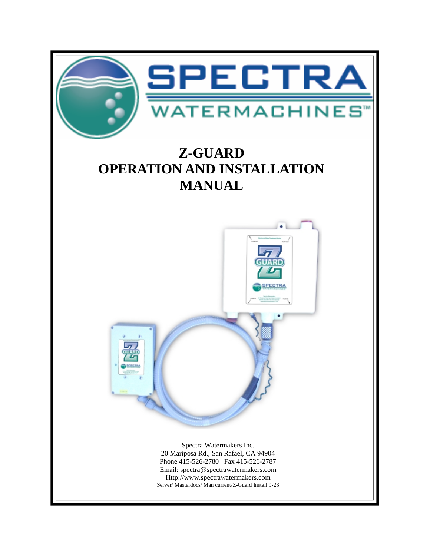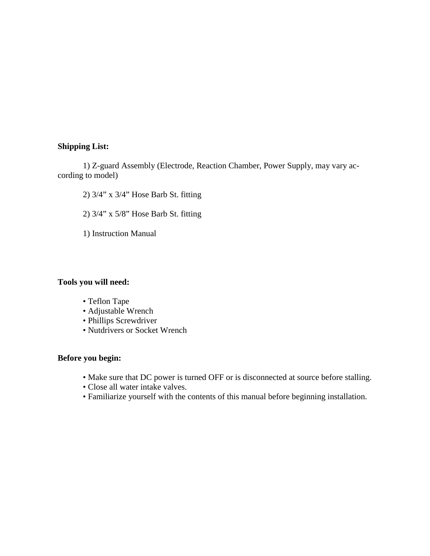#### **Shipping List:**

 1) Z-guard Assembly (Electrode, Reaction Chamber, Power Supply, may vary according to model)

2) 3/4" x 3/4" Hose Barb St. fitting

2) 3/4" x 5/8" Hose Barb St. fitting

1) Instruction Manual

#### **Tools you will need:**

- Teflon Tape
- Adjustable Wrench
- Phillips Screwdriver
- Nutdrivers or Socket Wrench

#### **Before you begin:**

- Make sure that DC power is turned OFF or is disconnected at source before stalling.
- Close all water intake valves.
- Familiarize yourself with the contents of this manual before beginning installation.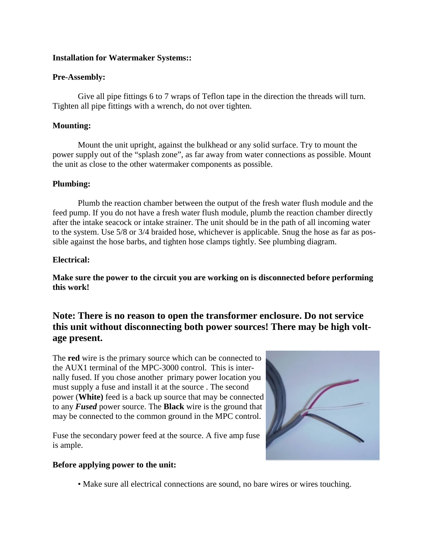#### **Installation for Watermaker Systems::**

#### **Pre-Assembly:**

 Give all pipe fittings 6 to 7 wraps of Teflon tape in the direction the threads will turn. Tighten all pipe fittings with a wrench, do not over tighten.

#### **Mounting:**

 Mount the unit upright, against the bulkhead or any solid surface. Try to mount the power supply out of the "splash zone", as far away from water connections as possible. Mount the unit as close to the other watermaker components as possible.

#### **Plumbing:**

 Plumb the reaction chamber between the output of the fresh water flush module and the feed pump. If you do not have a fresh water flush module, plumb the reaction chamber directly after the intake seacock or intake strainer. The unit should be in the path of all incoming water to the system. Use 5/8 or 3/4 braided hose, whichever is applicable. Snug the hose as far as possible against the hose barbs, and tighten hose clamps tightly. See plumbing diagram.

#### **Electrical:**

**Make sure the power to the circuit you are working on is disconnected before performing this work!** 

## **Note: There is no reason to open the transformer enclosure. Do not service this unit without disconnecting both power sources! There may be high voltage present.**

The **red** wire is the primary source which can be connected to the AUX1 terminal of the MPC-3000 control. This is internally fused. If you chose another primary power location you must supply a fuse and install it at the source . The second power (**White)** feed is a back up source that may be connected to any *Fused* power source. The **Black** wire is the ground that may be connected to the common ground in the MPC control.

Fuse the secondary power feed at the source. A five amp fuse is ample.

#### **Before applying power to the unit:**



• Make sure all electrical connections are sound, no bare wires or wires touching.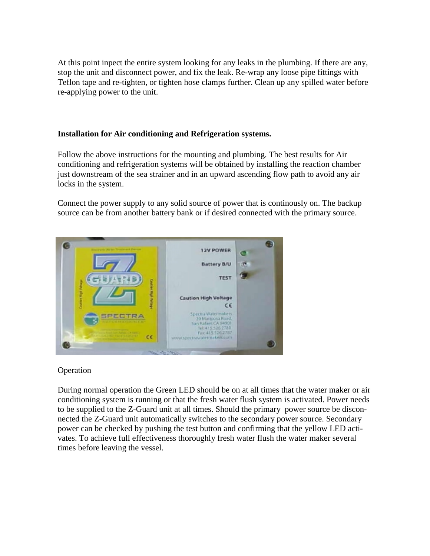At this point inpect the entire system looking for any leaks in the plumbing. If there are any, stop the unit and disconnect power, and fix the leak. Re-wrap any loose pipe fittings with Teflon tape and re-tighten, or tighten hose clamps further. Clean up any spilled water before re-applying power to the unit.

### **Installation for Air conditioning and Refrigeration systems.**

Follow the above instructions for the mounting and plumbing. The best results for Air conditioning and refrigeration systems will be obtained by installing the reaction chamber just downstream of the sea strainer and in an upward ascending flow path to avoid any air locks in the system.

Connect the power supply to any solid source of power that is continously on. The backup source can be from another battery bank or if desired connected with the primary source.



#### Operation

During normal operation the Green LED should be on at all times that the water maker or air conditioning system is running or that the fresh water flush system is activated. Power needs to be supplied to the Z-Guard unit at all times. Should the primary power source be disconnected the Z-Guard unit automatically switches to the secondary power source. Secondary power can be checked by pushing the test button and confirming that the yellow LED activates. To achieve full effectiveness thoroughly fresh water flush the water maker several times before leaving the vessel.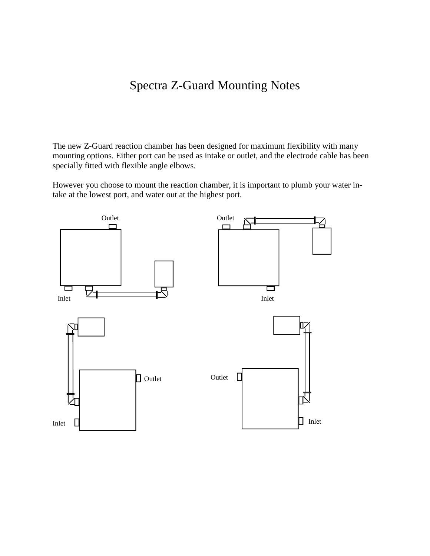# Spectra Z-Guard Mounting Notes

The new Z-Guard reaction chamber has been designed for maximum flexibility with many mounting options. Either port can be used as intake or outlet, and the electrode cable has been specially fitted with flexible angle elbows.

However you choose to mount the reaction chamber, it is important to plumb your water intake at the lowest port, and water out at the highest port.